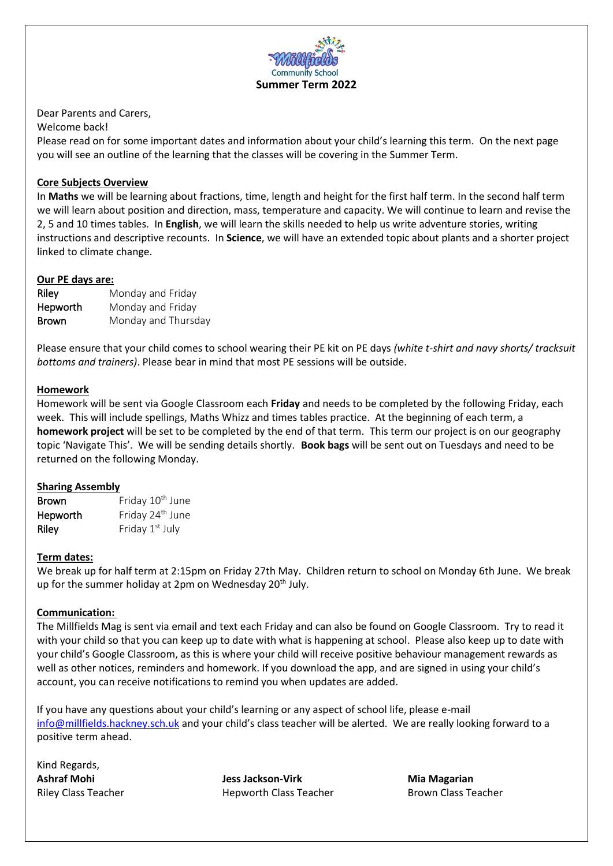

Dear Parents and Carers,

Welcome back!

Please read on for some important dates and information about your child's learning this term. On the next page you will see an outline of the learning that the classes will be covering in the Summer Term.

# **Core Subjects Overview**

In **Maths** we will be learning about fractions, time, length and height for the first half term. In the second half term we will learn about position and direction, mass, temperature and capacity. We will continue to learn and revise the 2, 5 and 10 times tables. In **English**, we will learn the skills needed to help us write adventure stories, writing instructions and descriptive recounts. In **Science**, we will have an extended topic about plants and a shorter project linked to climate change.

#### **Our PE days are:**

| Riley        | Monday and Friday   |
|--------------|---------------------|
| Hepworth     | Monday and Friday   |
| <b>Brown</b> | Monday and Thursday |

Please ensure that your child comes to school wearing their PE kit on PE days *(white t-shirt and navy shorts/ tracksuit bottoms and trainers)*. Please bear in mind that most PE sessions will be outside.

# **Homework**

Homework will be sent via Google Classroom each **Friday** and needs to be completed by the following Friday, each week. This will include spellings, Maths Whizz and times tables practice. At the beginning of each term, a **homework project** will be set to be completed by the end of that term. This term our project is on our geography topic 'Navigate This'. We will be sending details shortly. **Book bags** will be sent out on Tuesdays and need to be returned on the following Monday.

# **Sharing Assembly**

| <b>Brown</b> | Friday 10 <sup>th</sup> June |
|--------------|------------------------------|
| Hepworth     | Friday 24 <sup>th</sup> June |
| Riley        | Friday 1 <sup>st</sup> July  |

# **Term dates:**

We break up for half term at 2:15pm on Friday 27th May. Children return to school on Monday 6th June. We break up for the summer holiday at 2pm on Wednesday  $20<sup>th</sup>$  July.

# **Communication:**

The Millfields Mag is sent via email and text each Friday and can also be found on Google Classroom. Try to read it with your child so that you can keep up to date with what is happening at school. Please also keep up to date with your child's Google Classroom, as this is where your child will receive positive behaviour management rewards as well as other notices, reminders and homework. If you download the app, and are signed in using your child's account, you can receive notifications to remind you when updates are added.

If you have any questions about your child's learning or any aspect of school life, please e-mail [info@millfields.hackney.sch.uk](mailto:info@millfields.hackney.sch.uk) and your child's class teacher will be alerted. We are really looking forward to a positive term ahead.

Kind Regards,

**Ashraf Mohi Jess Jackson-Virk Mia Magarian** Riley Class Teacher **Hepworth Class Teacher** Brown Class Teacher